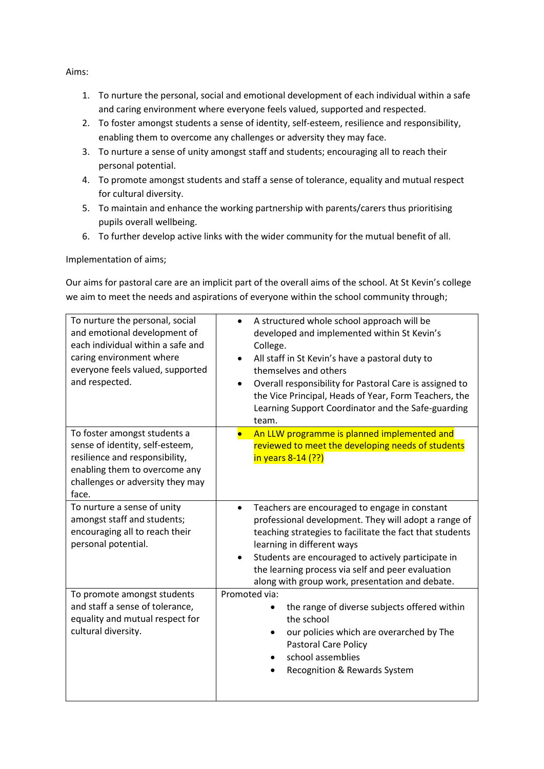Aims:

- 1. To nurture the personal, social and emotional development of each individual within a safe and caring environment where everyone feels valued, supported and respected.
- 2. To foster amongst students a sense of identity, self-esteem, resilience and responsibility, enabling them to overcome any challenges or adversity they may face.
- 3. To nurture a sense of unity amongst staff and students; encouraging all to reach their personal potential.
- 4. To promote amongst students and staff a sense of tolerance, equality and mutual respect for cultural diversity.
- 5. To maintain and enhance the working partnership with parents/carers thus prioritising pupils overall wellbeing.
- 6. To further develop active links with the wider community for the mutual benefit of all.

Implementation of aims;

Our aims for pastoral care are an implicit part of the overall aims of the school. At St Kevin's college we aim to meet the needs and aspirations of everyone within the school community through;

| To nurture the personal, social<br>and emotional development of<br>each individual within a safe and<br>caring environment where<br>everyone feels valued, supported<br>and respected. | A structured whole school approach will be<br>$\bullet$<br>developed and implemented within St Kevin's<br>College.<br>All staff in St Kevin's have a pastoral duty to<br>$\bullet$<br>themselves and others<br>Overall responsibility for Pastoral Care is assigned to<br>$\bullet$<br>the Vice Principal, Heads of Year, Form Teachers, the<br>Learning Support Coordinator and the Safe-guarding<br>team. |
|----------------------------------------------------------------------------------------------------------------------------------------------------------------------------------------|-------------------------------------------------------------------------------------------------------------------------------------------------------------------------------------------------------------------------------------------------------------------------------------------------------------------------------------------------------------------------------------------------------------|
| To foster amongst students a<br>sense of identity, self-esteem,<br>resilience and responsibility,<br>enabling them to overcome any<br>challenges or adversity they may<br>face.        | An LLW programme is planned implemented and<br>$\bullet$<br>reviewed to meet the developing needs of students<br>in years 8-14 (??)                                                                                                                                                                                                                                                                         |
| To nurture a sense of unity<br>amongst staff and students;<br>encouraging all to reach their<br>personal potential.                                                                    | Teachers are encouraged to engage in constant<br>$\bullet$<br>professional development. They will adopt a range of<br>teaching strategies to facilitate the fact that students<br>learning in different ways<br>Students are encouraged to actively participate in<br>$\bullet$<br>the learning process via self and peer evaluation<br>along with group work, presentation and debate.                     |
| To promote amongst students<br>and staff a sense of tolerance,<br>equality and mutual respect for<br>cultural diversity.                                                               | Promoted via:<br>the range of diverse subjects offered within<br>$\bullet$<br>the school<br>our policies which are overarched by The<br>Pastoral Care Policy<br>school assemblies<br>Recognition & Rewards System                                                                                                                                                                                           |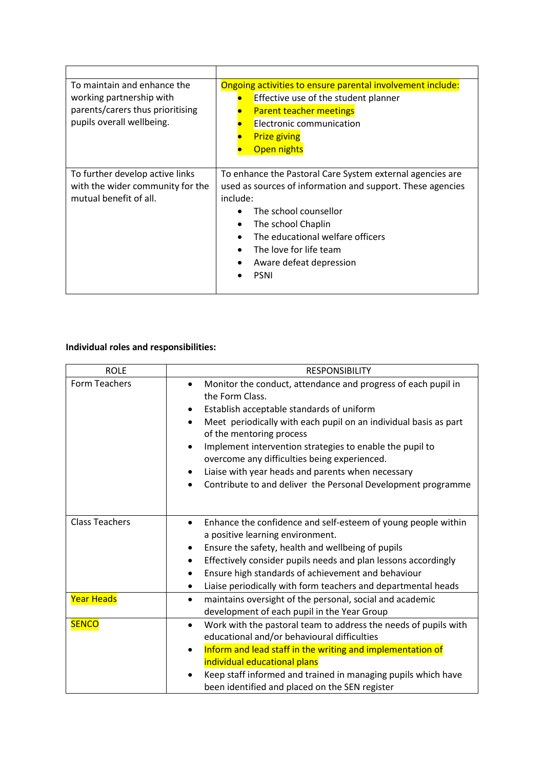| To maintain and enhance the<br>working partnership with<br>parents/carers thus prioritising<br>pupils overall wellbeing. | Ongoing activities to ensure parental involvement include:<br>Effective use of the student planner<br><b>Parent teacher meetings</b><br>Electronic communication<br><b>Prize giving</b><br><b>Open nights</b>                                                                                                                                  |
|--------------------------------------------------------------------------------------------------------------------------|------------------------------------------------------------------------------------------------------------------------------------------------------------------------------------------------------------------------------------------------------------------------------------------------------------------------------------------------|
| To further develop active links<br>with the wider community for the<br>mutual benefit of all.                            | To enhance the Pastoral Care System external agencies are<br>used as sources of information and support. These agencies<br>include:<br>The school counsellor<br>The school Chaplin<br>$\bullet$<br>The educational welfare officers<br>$\bullet$<br>The love for life team<br>$\bullet$<br>Aware defeat depression<br>$\bullet$<br><b>PSNI</b> |

## **Individual roles and responsibilities:**

| <b>ROLE</b>           | <b>RESPONSIBILITY</b>                                                                                                                                                                                                                                                                                                                                                                                                                                                            |
|-----------------------|----------------------------------------------------------------------------------------------------------------------------------------------------------------------------------------------------------------------------------------------------------------------------------------------------------------------------------------------------------------------------------------------------------------------------------------------------------------------------------|
| Form Teachers         | Monitor the conduct, attendance and progress of each pupil in<br>the Form Class.<br>Establish acceptable standards of uniform<br>٠<br>Meet periodically with each pupil on an individual basis as part<br>$\bullet$<br>of the mentoring process<br>Implement intervention strategies to enable the pupil to<br>overcome any difficulties being experienced.<br>Liaise with year heads and parents when necessary<br>Contribute to and deliver the Personal Development programme |
| <b>Class Teachers</b> | Enhance the confidence and self-esteem of young people within<br>٠<br>a positive learning environment.<br>Ensure the safety, health and wellbeing of pupils<br>$\bullet$<br>Effectively consider pupils needs and plan lessons accordingly<br>٠<br>Ensure high standards of achievement and behaviour<br>$\bullet$<br>Liaise periodically with form teachers and departmental heads<br>٠                                                                                         |
| <b>Year Heads</b>     | maintains oversight of the personal, social and academic<br>$\bullet$<br>development of each pupil in the Year Group                                                                                                                                                                                                                                                                                                                                                             |
| <b>SENCO</b>          | Work with the pastoral team to address the needs of pupils with<br>$\bullet$<br>educational and/or behavioural difficulties<br>Inform and lead staff in the writing and implementation of<br>individual educational plans<br>Keep staff informed and trained in managing pupils which have<br>been identified and placed on the SEN register                                                                                                                                     |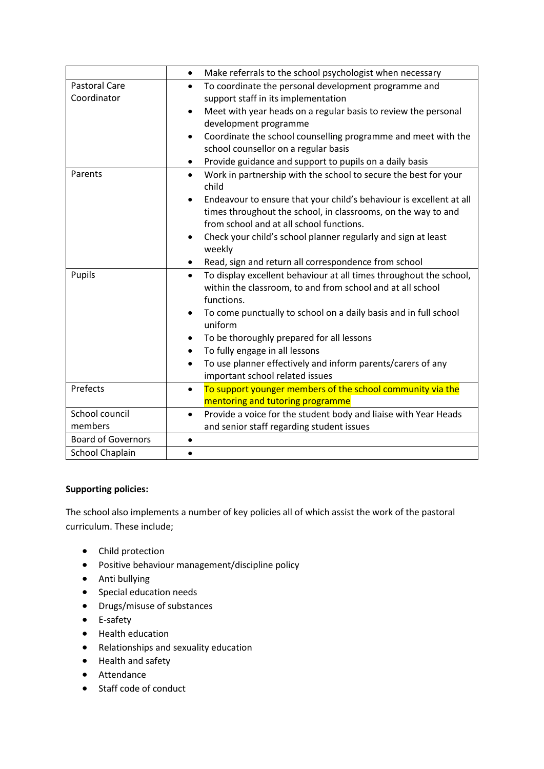|                           | Make referrals to the school psychologist when necessary<br>$\bullet$            |
|---------------------------|----------------------------------------------------------------------------------|
| <b>Pastoral Care</b>      | To coordinate the personal development programme and<br>$\bullet$                |
| Coordinator               | support staff in its implementation                                              |
|                           | Meet with year heads on a regular basis to review the personal<br>$\bullet$      |
|                           | development programme                                                            |
|                           | Coordinate the school counselling programme and meet with the<br>$\bullet$       |
|                           | school counsellor on a regular basis                                             |
|                           | Provide guidance and support to pupils on a daily basis                          |
| Parents                   | Work in partnership with the school to secure the best for your<br>$\bullet$     |
|                           | child                                                                            |
|                           | Endeavour to ensure that your child's behaviour is excellent at all<br>$\bullet$ |
|                           | times throughout the school, in classrooms, on the way to and                    |
|                           | from school and at all school functions.                                         |
|                           | Check your child's school planner regularly and sign at least<br>$\bullet$       |
|                           | weekly                                                                           |
|                           | Read, sign and return all correspondence from school                             |
| Pupils                    | To display excellent behaviour at all times throughout the school,<br>$\bullet$  |
|                           | within the classroom, to and from school and at all school                       |
|                           | functions.                                                                       |
|                           | To come punctually to school on a daily basis and in full school                 |
|                           | uniform                                                                          |
|                           | To be thoroughly prepared for all lessons                                        |
|                           | To fully engage in all lessons                                                   |
|                           | To use planner effectively and inform parents/carers of any<br>$\bullet$         |
|                           | important school related issues                                                  |
| Prefects                  | To support younger members of the school community via the<br>$\bullet$          |
|                           | mentoring and tutoring programme                                                 |
| School council            | Provide a voice for the student body and liaise with Year Heads<br>$\bullet$     |
| members                   | and senior staff regarding student issues                                        |
| <b>Board of Governors</b> | $\bullet$                                                                        |
| <b>School Chaplain</b>    | $\bullet$                                                                        |

## **Supporting policies:**

The school also implements a number of key policies all of which assist the work of the pastoral curriculum. These include;

- Child protection
- Positive behaviour management/discipline policy
- Anti bullying
- Special education needs
- Drugs/misuse of substances
- E-safety
- Health education
- Relationships and sexuality education
- Health and safety
- Attendance
- Staff code of conduct